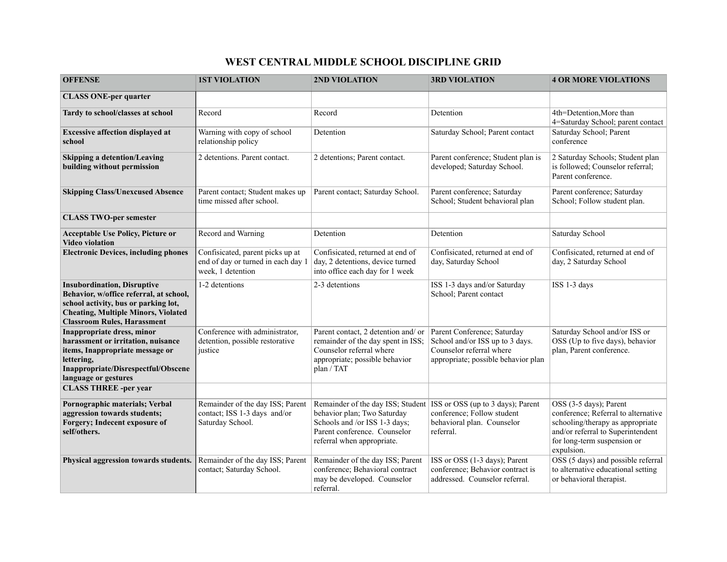## **WEST CENTRAL MIDDLE SCHOOL DISCIPLINE GRID**

| <b>OFFENSE</b>                                                                                                                                                                                             | <b>1ST VIOLATION</b>                                                                        | 2ND VIOLATION                                                                                                                                                   | <b>3RD VIOLATION</b>                                                                                                              | <b>4 OR MORE VIOLATIONS</b>                                                                                                                                                         |
|------------------------------------------------------------------------------------------------------------------------------------------------------------------------------------------------------------|---------------------------------------------------------------------------------------------|-----------------------------------------------------------------------------------------------------------------------------------------------------------------|-----------------------------------------------------------------------------------------------------------------------------------|-------------------------------------------------------------------------------------------------------------------------------------------------------------------------------------|
| <b>CLASS ONE-per quarter</b>                                                                                                                                                                               |                                                                                             |                                                                                                                                                                 |                                                                                                                                   |                                                                                                                                                                                     |
| Tardy to school/classes at school                                                                                                                                                                          | Record                                                                                      | Record                                                                                                                                                          | Detention                                                                                                                         | 4th=Detention, More than<br>4=Saturday School; parent contact                                                                                                                       |
| <b>Excessive affection displayed at</b><br>school                                                                                                                                                          | Warning with copy of school<br>relationship policy                                          | Detention                                                                                                                                                       | Saturday School; Parent contact                                                                                                   | Saturday School; Parent<br>conference                                                                                                                                               |
| Skipping a detention/Leaving<br>building without permission                                                                                                                                                | 2 detentions. Parent contact.                                                               | 2 detentions; Parent contact.                                                                                                                                   | Parent conference; Student plan is<br>developed; Saturday School.                                                                 | 2 Saturday Schools; Student plan<br>is followed; Counselor referral;<br>Parent conference.                                                                                          |
| <b>Skipping Class/Unexcused Absence</b>                                                                                                                                                                    | Parent contact; Student makes up<br>time missed after school.                               | Parent contact; Saturday School.                                                                                                                                | Parent conference; Saturday<br>School; Student behavioral plan                                                                    | Parent conference; Saturday<br>School; Follow student plan.                                                                                                                         |
| <b>CLASS TWO-per semester</b>                                                                                                                                                                              |                                                                                             |                                                                                                                                                                 |                                                                                                                                   |                                                                                                                                                                                     |
| <b>Acceptable Use Policy, Picture or</b><br><b>Video violation</b>                                                                                                                                         | Record and Warning                                                                          | Detention                                                                                                                                                       | Detention                                                                                                                         | Saturday School                                                                                                                                                                     |
| <b>Electronic Devices, including phones</b>                                                                                                                                                                | Confisicated, parent picks up at<br>end of day or turned in each day 1<br>week, 1 detention | Confisicated, returned at end of<br>day, 2 detentions, device turned<br>into office each day for 1 week                                                         | Confisicated, returned at end of<br>day, Saturday School                                                                          | Confisicated, returned at end of<br>day, 2 Saturday School                                                                                                                          |
| <b>Insubordination</b> , Disruptive<br>Behavior, w/office referral, at school,<br>school activity, bus or parking lot,<br><b>Cheating, Multiple Minors, Violated</b><br><b>Classroom Rules, Harassment</b> | 1-2 detentions                                                                              | 2-3 detentions                                                                                                                                                  | ISS 1-3 days and/or Saturday<br>School; Parent contact                                                                            | ISS 1-3 days                                                                                                                                                                        |
| Inappropriate dress, minor<br>harassment or irritation, nuisance<br>items, Inappropriate message or<br>lettering,<br>Inappropriate/Disrespectful/Obscene<br>language or gestures                           | Conference with administrator,<br>detention, possible restorative<br>justice                | Parent contact, 2 detention and/ or<br>remainder of the day spent in ISS;<br>Counselor referral where<br>appropriate; possible behavior<br>plan / TAT           | Parent Conference; Saturday<br>School and/or ISS up to 3 days.<br>Counselor referral where<br>appropriate; possible behavior plan | Saturday School and/or ISS or<br>OSS (Up to five days), behavior<br>plan, Parent conference.                                                                                        |
| <b>CLASS THREE -per year</b>                                                                                                                                                                               |                                                                                             |                                                                                                                                                                 |                                                                                                                                   |                                                                                                                                                                                     |
| Pornographic materials; Verbal<br>aggression towards students;<br>Forgery; Indecent exposure of<br>self/others.                                                                                            | Remainder of the day ISS; Parent<br>contact; ISS 1-3 days and/or<br>Saturday School.        | Remainder of the day ISS; Student<br>behavior plan; Two Saturday<br>Schools and /or ISS 1-3 days;<br>Parent conference. Counselor<br>referral when appropriate. | ISS or OSS (up to 3 days); Parent<br>conference; Follow student<br>behavioral plan. Counselor<br>referral.                        | OSS (3-5 days); Parent<br>conference; Referral to alternative<br>schooling/therapy as appropriate<br>and/or referral to Superintendent<br>for long-term suspension or<br>expulsion. |
| Physical aggression towards students.                                                                                                                                                                      | Remainder of the day ISS; Parent<br>contact; Saturday School.                               | Remainder of the day ISS; Parent<br>conference; Behavioral contract<br>may be developed. Counselor<br>referral.                                                 | ISS or OSS (1-3 days); Parent<br>conference; Behavior contract is<br>addressed. Counselor referral.                               | OSS (5 days) and possible referral<br>to alternative educational setting<br>or behavioral therapist.                                                                                |